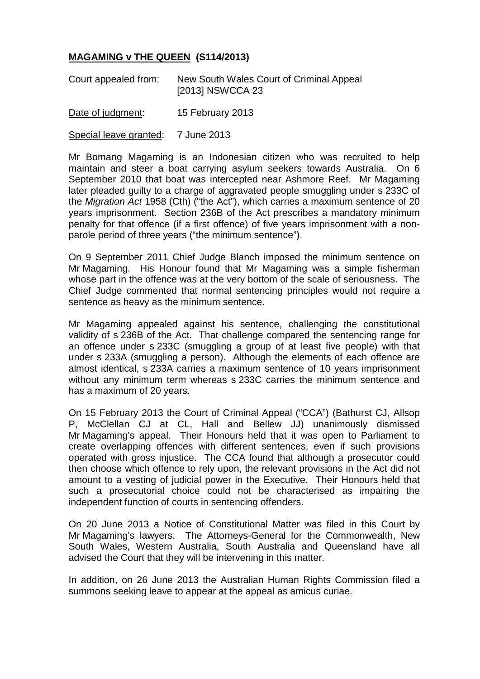## **MAGAMING v THE QUEEN (S114/2013)**

| Court appealed from: | New South Wales Court of Criminal Appeal |
|----------------------|------------------------------------------|
|                      | [2013] NSWCCA 23                         |

Date of judgment: 15 February 2013

Special leave granted: 7 June 2013

Mr Bomang Magaming is an Indonesian citizen who was recruited to help maintain and steer a boat carrying asylum seekers towards Australia. On 6 September 2010 that boat was intercepted near Ashmore Reef. Mr Magaming later pleaded guilty to a charge of aggravated people smuggling under s 233C of the *Migration Act* 1958 (Cth) ("the Act"), which carries a maximum sentence of 20 years imprisonment. Section 236B of the Act prescribes a mandatory minimum penalty for that offence (if a first offence) of five years imprisonment with a nonparole period of three years ("the minimum sentence").

On 9 September 2011 Chief Judge Blanch imposed the minimum sentence on Mr Magaming. His Honour found that Mr Magaming was a simple fisherman whose part in the offence was at the very bottom of the scale of seriousness. The Chief Judge commented that normal sentencing principles would not require a sentence as heavy as the minimum sentence.

Mr Magaming appealed against his sentence, challenging the constitutional validity of s 236B of the Act. That challenge compared the sentencing range for an offence under s 233C (smuggling a group of at least five people) with that under s 233A (smuggling a person). Although the elements of each offence are almost identical, s 233A carries a maximum sentence of 10 years imprisonment without any minimum term whereas s 233C carries the minimum sentence and has a maximum of 20 years.

On 15 February 2013 the Court of Criminal Appeal ("CCA") (Bathurst CJ, Allsop P, McClellan CJ at CL, Hall and Bellew JJ) unanimously dismissed Mr Magaming's appeal. Their Honours held that it was open to Parliament to create overlapping offences with different sentences, even if such provisions operated with gross injustice. The CCA found that although a prosecutor could then choose which offence to rely upon, the relevant provisions in the Act did not amount to a vesting of judicial power in the Executive. Their Honours held that such a prosecutorial choice could not be characterised as impairing the independent function of courts in sentencing offenders.

On 20 June 2013 a Notice of Constitutional Matter was filed in this Court by Mr Magaming's lawyers. The Attorneys-General for the Commonwealth, New South Wales, Western Australia, South Australia and Queensland have all advised the Court that they will be intervening in this matter.

In addition, on 26 June 2013 the Australian Human Rights Commission filed a summons seeking leave to appear at the appeal as amicus curiae.